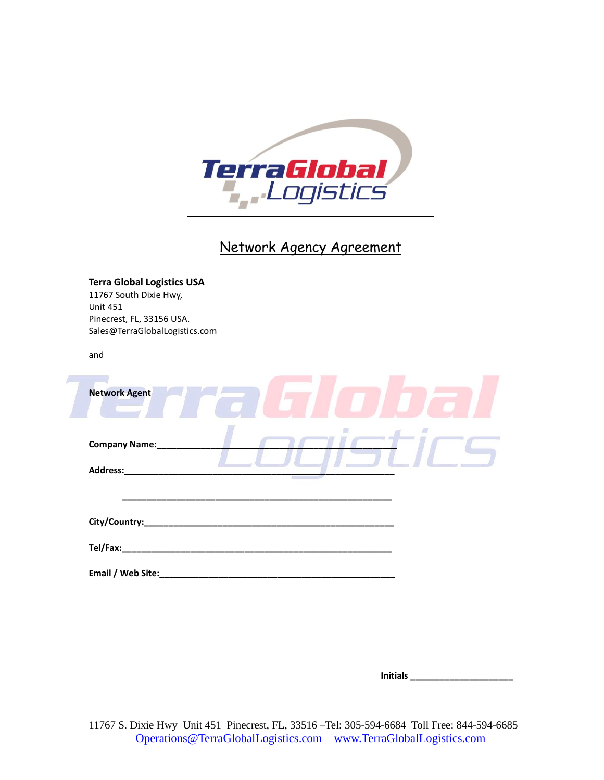

# Network Agency Agreement

|                 | <b>Terra Global Logistics USA</b><br>11767 South Dixie Hwy,                                                    |
|-----------------|----------------------------------------------------------------------------------------------------------------|
| <b>Unit 451</b> |                                                                                                                |
|                 | Pinecrest, FL, 33156 USA.                                                                                      |
|                 | Sales@TerraGlobalLogistics.com                                                                                 |
| and             |                                                                                                                |
|                 |                                                                                                                |
|                 | <b>Network Agent</b>                                                                                           |
|                 | <b>Company Name:</b>                                                                                           |
|                 | Address: Andreas and the state of the state of the state of the state of the state of the state of the state o |
|                 |                                                                                                                |
|                 |                                                                                                                |
|                 |                                                                                                                |
|                 |                                                                                                                |

 **Initials \_\_\_\_\_\_\_\_\_\_\_\_\_\_\_\_\_\_\_\_\_**

11767 S. Dixie Hwy Unit 451 Pinecrest, FL, 33516 –Tel: 305-594-6684 Toll Free: 844-594-6685 [Operations@TerraGlobalLogistics.com](mailto:Operations@TerraGlobalLogistics.com) [www.TerraGlobalLogistics.com](http://www.terragloballogistics.com/)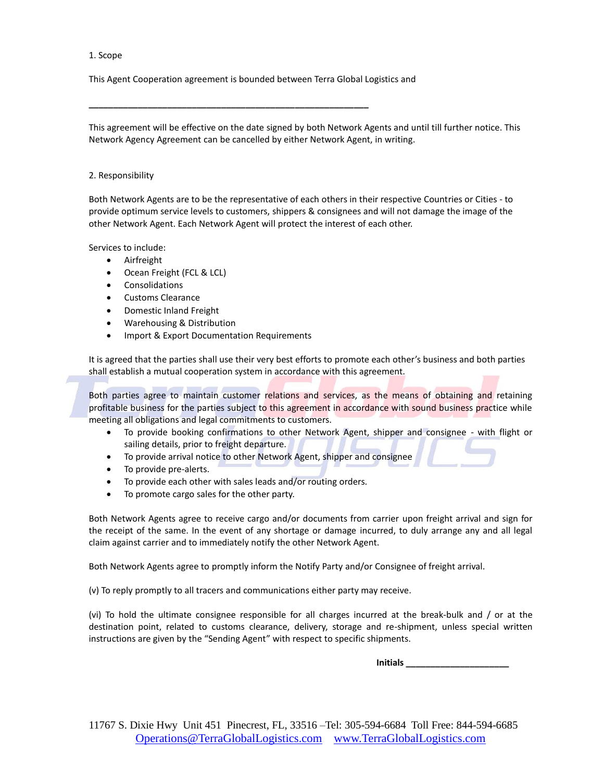#### 1. Scope

This Agent Cooperation agreement is bounded between Terra Global Logistics and

**\_\_\_\_\_\_\_\_\_\_\_\_\_\_\_\_\_\_\_\_\_\_\_\_\_\_\_\_\_\_\_\_\_\_\_\_\_\_\_\_\_\_\_\_\_\_\_\_\_\_\_\_\_\_\_\_\_**

This agreement will be effective on the date signed by both Network Agents and until till further notice. This Network Agency Agreement can be cancelled by either Network Agent, in writing.

## 2. Responsibility

Both Network Agents are to be the representative of each others in their respective Countries or Cities - to provide optimum service levels to customers, shippers & consignees and will not damage the image of the other Network Agent. Each Network Agent will protect the interest of each other.

Services to include:

- Airfreight
- Ocean Freight (FCL & LCL)
- **Consolidations**
- Customs Clearance
- Domestic Inland Freight
- Warehousing & Distribution
- Import & Export Documentation Requirements

It is agreed that the parties shall use their very best efforts to promote each other's business and both parties shall establish a mutual cooperation system in accordance with this agreement.

Both parties agree to maintain customer relations and services, as the means of obtaining and retaining profitable business for the parties subject to this agreement in accordance with sound business practice while meeting all obligations and legal commitments to customers.

- To provide booking confirmations to other Network Agent, shipper and consignee with flight or sailing details, prior to freight departure.
- To provide arrival notice to other Network Agent, shipper and consignee
- To provide pre-alerts.
- To provide each other with sales leads and/or routing orders.
- To promote cargo sales for the other party.

Both Network Agents agree to receive cargo and/or documents from carrier upon freight arrival and sign for the receipt of the same. In the event of any shortage or damage incurred, to duly arrange any and all legal claim against carrier and to immediately notify the other Network Agent.

Both Network Agents agree to promptly inform the Notify Party and/or Consignee of freight arrival.

(v) To reply promptly to all tracers and communications either party may receive.

(vi) To hold the ultimate consignee responsible for all charges incurred at the break-bulk and / or at the destination point, related to customs clearance, delivery, storage and re-shipment, unless special written instructions are given by the "Sending Agent" with respect to specific shipments.

 **Initials \_\_\_\_\_\_\_\_\_\_\_\_\_\_\_\_\_\_\_\_\_**

11767 S. Dixie Hwy Unit 451 Pinecrest, FL, 33516 –Tel: 305-594-6684 Toll Free: 844-594-6685 [Operations@TerraGlobalLogistics.com](mailto:Operations@TerraGlobalLogistics.com) [www.TerraGlobalLogistics.com](http://www.terragloballogistics.com/)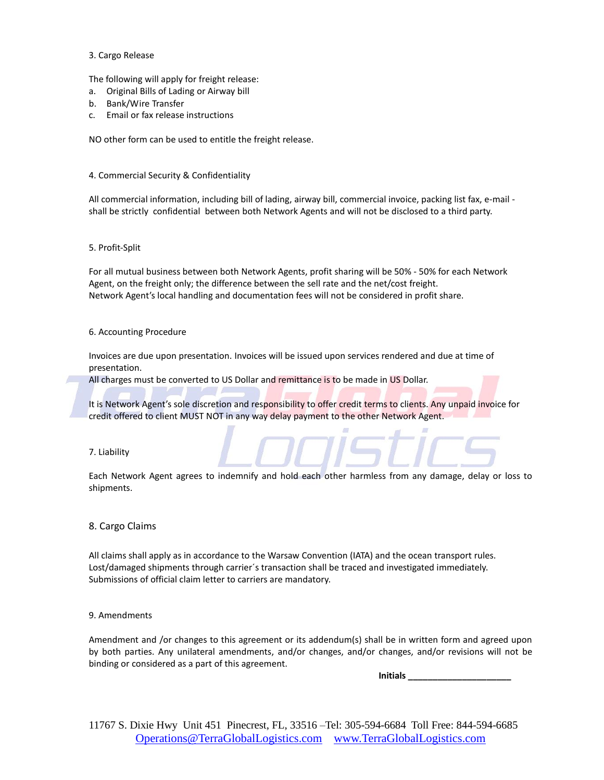#### 3. Cargo Release

The following will apply for freight release:

- a. Original Bills of Lading or Airway bill
- b. Bank/Wire Transfer
- c. Email or fax release instructions

NO other form can be used to entitle the freight release.

4. Commercial Security & Confidentiality

All commercial information, including bill of lading, airway bill, commercial invoice, packing list fax, e-mail shall be strictly confidential between both Network Agents and will not be disclosed to a third party.

#### 5. Profit-Split

For all mutual business between both Network Agents, profit sharing will be 50% - 50% for each Network Agent, on the freight only; the difference between the sell rate and the net/cost freight. Network Agent's local handling and documentation fees will not be considered in profit share.

#### 6. Accounting Procedure

Invoices are due upon presentation. Invoices will be issued upon services rendered and due at time of presentation.

All charges must be converted to US Dollar and remittance is to be made in US Dollar.

It is Network Agent's sole discretion and responsibility to offer credit terms to clients. Any unpaid invoice for credit offered to client MUST NOT in any way delay payment to the other Network Agent.

7. Liability

Each Network Agent agrees to indemnify and hold each other harmless from any damage, delay or loss to shipments.

## 8. Cargo Claims

All claims shall apply as in accordance to the Warsaw Convention (IATA) and the ocean transport rules. Lost/damaged shipments through carrier´s transaction shall be traced and investigated immediately. Submissions of official claim letter to carriers are mandatory.

#### 9. Amendments

Amendment and /or changes to this agreement or its addendum(s) shall be in written form and agreed upon by both parties. Any unilateral amendments, and/or changes, and/or changes, and/or revisions will not be binding or considered as a part of this agreement.

 **Initials \_\_\_\_\_\_\_\_\_\_\_\_\_\_\_\_\_\_\_\_\_**

11767 S. Dixie Hwy Unit 451 Pinecrest, FL, 33516 –Tel: 305-594-6684 Toll Free: 844-594-6685 [Operations@TerraGlobalLogistics.com](mailto:Operations@TerraGlobalLogistics.com) [www.TerraGlobalLogistics.com](http://www.terragloballogistics.com/)